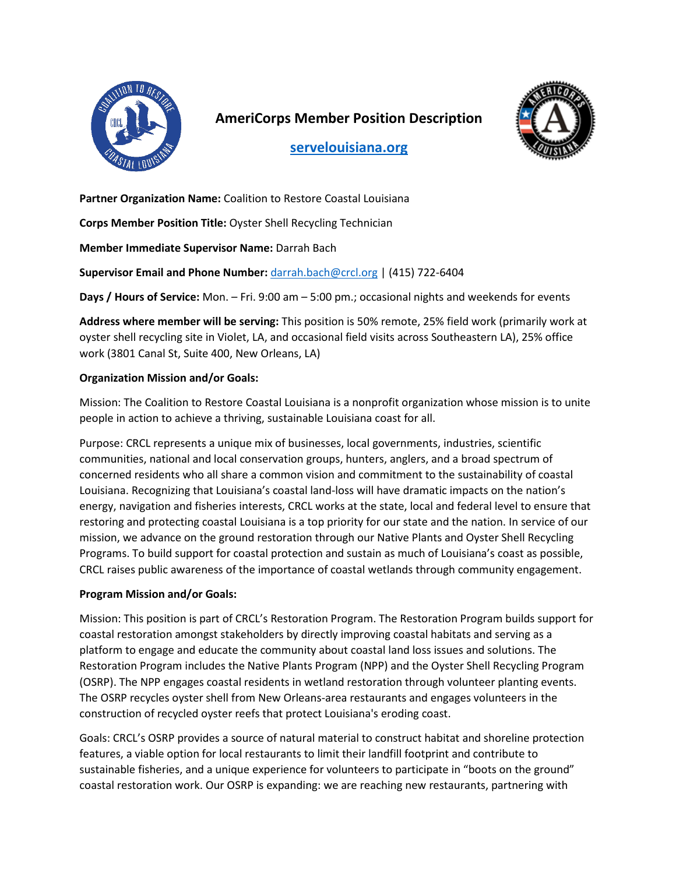

# **AmeriCorps Member Position Description**



**[servelouisiana.org](https://www.servelouisiana.org/)**

**Partner Organization Name:** Coalition to Restore Coastal Louisiana

**Corps Member Position Title:** Oyster Shell Recycling Technician

**Member Immediate Supervisor Name:** Darrah Bach

**Supervisor Email and Phone Number:** [darrah.bach@crcl.org](mailto:darrah.bach@crcl.org) | (415) 722-6404

**Days / Hours of Service:** Mon. – Fri. 9:00 am – 5:00 pm.; occasional nights and weekends for events

**Address where member will be serving:** This position is 50% remote, 25% field work (primarily work at oyster shell recycling site in Violet, LA, and occasional field visits across Southeastern LA), 25% office work (3801 Canal St, Suite 400, New Orleans, LA)

## **Organization Mission and/or Goals:**

Mission: The Coalition to Restore Coastal Louisiana is a nonprofit organization whose mission is to unite people in action to achieve a thriving, sustainable Louisiana coast for all.

Purpose: CRCL represents a unique mix of businesses, local governments, industries, scientific communities, national and local conservation groups, hunters, anglers, and a broad spectrum of concerned residents who all share a common vision and commitment to the sustainability of coastal Louisiana. Recognizing that Louisiana's coastal land-loss will have dramatic impacts on the nation's energy, navigation and fisheries interests, CRCL works at the state, local and federal level to ensure that restoring and protecting coastal Louisiana is a top priority for our state and the nation. In service of our mission, we advance on the ground restoration through our Native Plants and Oyster Shell Recycling Programs. To build support for coastal protection and sustain as much of Louisiana's coast as possible, CRCL raises public awareness of the importance of coastal wetlands through community engagement.

# **Program Mission and/or Goals:**

Mission: This position is part of CRCL's Restoration Program. The Restoration Program builds support for coastal restoration amongst stakeholders by directly improving coastal habitats and serving as a platform to engage and educate the community about coastal land loss issues and solutions. The Restoration Program includes the Native Plants Program (NPP) and the Oyster Shell Recycling Program (OSRP). The NPP engages coastal residents in wetland restoration through volunteer planting events. The OSRP recycles oyster shell from New Orleans-area restaurants and engages volunteers in the construction of recycled oyster reefs that protect Louisiana's eroding coast.

Goals: CRCL's OSRP provides a source of natural material to construct habitat and shoreline protection features, a viable option for local restaurants to limit their landfill footprint and contribute to sustainable fisheries, and a unique experience for volunteers to participate in "boots on the ground" coastal restoration work. Our OSRP is expanding: we are reaching new restaurants, partnering with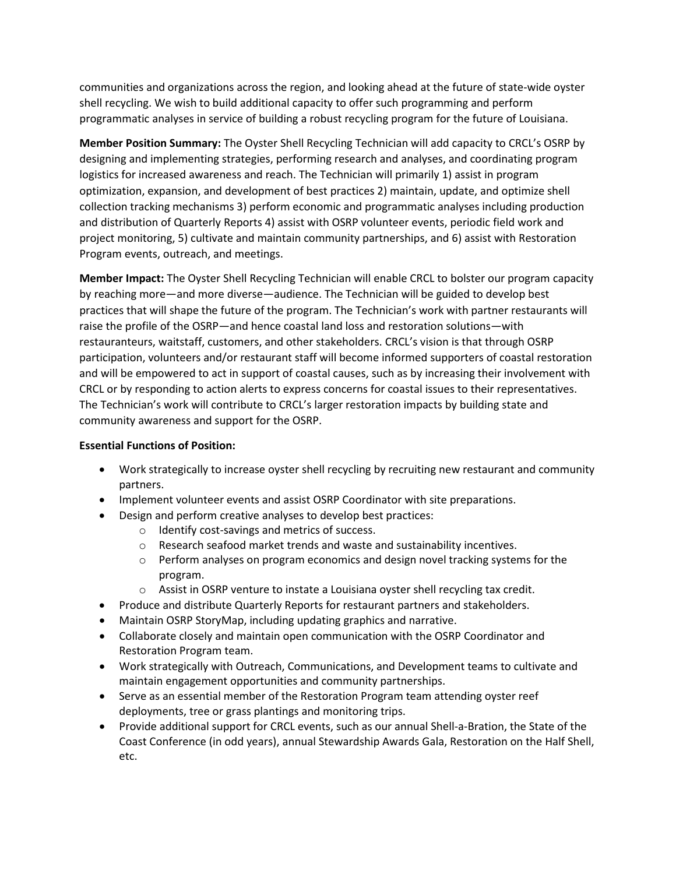communities and organizations across the region, and looking ahead at the future of state-wide oyster shell recycling. We wish to build additional capacity to offer such programming and perform programmatic analyses in service of building a robust recycling program for the future of Louisiana.

**Member Position Summary:** The Oyster Shell Recycling Technician will add capacity to CRCL's OSRP by designing and implementing strategies, performing research and analyses, and coordinating program logistics for increased awareness and reach. The Technician will primarily 1) assist in program optimization, expansion, and development of best practices 2) maintain, update, and optimize shell collection tracking mechanisms 3) perform economic and programmatic analyses including production and distribution of Quarterly Reports 4) assist with OSRP volunteer events, periodic field work and project monitoring, 5) cultivate and maintain community partnerships, and 6) assist with Restoration Program events, outreach, and meetings.

**Member Impact:** The Oyster Shell Recycling Technician will enable CRCL to bolster our program capacity by reaching more—and more diverse—audience. The Technician will be guided to develop best practices that will shape the future of the program. The Technician's work with partner restaurants will raise the profile of the OSRP—and hence coastal land loss and restoration solutions—with restauranteurs, waitstaff, customers, and other stakeholders. CRCL's vision is that through OSRP participation, volunteers and/or restaurant staff will become informed supporters of coastal restoration and will be empowered to act in support of coastal causes, such as by increasing their involvement with CRCL or by responding to action alerts to express concerns for coastal issues to their representatives. The Technician's work will contribute to CRCL's larger restoration impacts by building state and community awareness and support for the OSRP.

### **Essential Functions of Position:**

- Work strategically to increase oyster shell recycling by recruiting new restaurant and community partners.
- Implement volunteer events and assist OSRP Coordinator with site preparations.
- Design and perform creative analyses to develop best practices:
	- o Identify cost-savings and metrics of success.
	- o Research seafood market trends and waste and sustainability incentives.
	- o Perform analyses on program economics and design novel tracking systems for the program.
	- $\circ$  Assist in OSRP venture to instate a Louisiana oyster shell recycling tax credit.
- Produce and distribute Quarterly Reports for restaurant partners and stakeholders.
- Maintain OSRP StoryMap, including updating graphics and narrative.
- Collaborate closely and maintain open communication with the OSRP Coordinator and Restoration Program team.
- Work strategically with Outreach, Communications, and Development teams to cultivate and maintain engagement opportunities and community partnerships.
- Serve as an essential member of the Restoration Program team attending oyster reef deployments, tree or grass plantings and monitoring trips.
- Provide additional support for CRCL events, such as our annual Shell-a-Bration, the State of the Coast Conference (in odd years), annual Stewardship Awards Gala, Restoration on the Half Shell, etc.